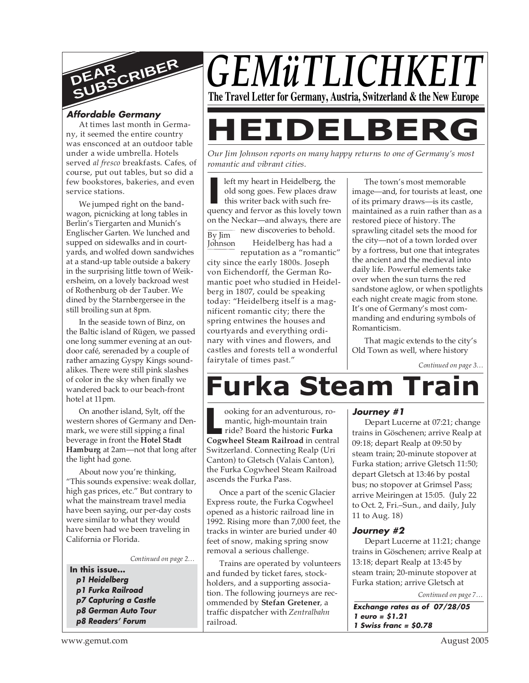

## **Affordable Germany**

At times last month in Germany, it seemed the entire country was ensconced at an outdoor table under a wide umbrella. Hotels served *al fresco* breakfasts. Cafes, of course, put out tables, but so did a few bookstores, bakeries, and even service stations.

We jumped right on the bandwagon, picnicking at long tables in Berlin's Tiergarten and Munich's Englischer Garten. We lunched and supped on sidewalks and in courtyards, and wolfed down sandwiches at a stand-up table outside a bakery in the surprising little town of Weikersheim, on a lovely backroad west of Rothenburg ob der Tauber. We dined by the Starnbergersee in the still broiling sun at 8pm.

In the seaside town of Binz, on the Baltic island of Rügen, we passed one long summer evening at an outdoor café, serenaded by a couple of rather amazing Gyspy Kings soundalikes. There were still pink slashes of color in the sky when finally we wandered back to our beach-front hotel at 11pm.

On another island, Sylt, off the western shores of Germany and Denmark, we were still sipping a final beverage in front the **Hotel Stadt Hamburg** at 2am—not that long after the light had gone.

About now you're thinking, "This sounds expensive: weak dollar, high gas prices, etc." But contrary to what the mainstream travel media have been saying, our per-day costs were similar to what they would have been had we been traveling in California or Florida.

*Continued on page 2…*

- **In this issue... p1 Heidelberg p1 Furka Railroad p7 Capturing a Castle p8 German Auto Tour**
	- **p8 Readers' Forum**



# **HEIDELBERG**

*Our Jim Johnson reports on many happy returns to one of Germany's most romantic and vibrant cities.*

**I** left my heart in Heidelberg, the old song goes. Few places draw this writer back with such frequency and fervor as this lovely town By Jim **Johnson** left my heart in Heidelberg, the old song goes. Few places draw this writer back with such freon the Neckar—and always, there are new discoveries to behold. Heidelberg has had a reputation as a "romantic" city since the early 1800s. Joseph von Eichendorff, the German Romantic poet who studied in Heidelberg in 1807, could be speaking today: "Heidelberg itself is a magnificent romantic city; there the spring entwines the houses and courtyards and everything ordinary with vines and flowers, and castles and forests tell a wonderful

The town's most memorable image—and, for tourists at least, one of its primary draws—is its castle, maintained as a ruin rather than as a restored piece of history. The sprawling citadel sets the mood for the city—not of a town lorded over by a fortress, but one that integrates the ancient and the medieval into daily life. Powerful elements take over when the sun turns the red sandstone aglow, or when spotlights each night create magic from stone. It's one of Germany's most commanding and enduring symbols of Romanticism.

That magic extends to the city's Old Town as well, where history

*Continued on page 3…*

# **Furka Steam Train**

ooking for an adventurous, romantic, high-mountain train ride? Board the historic **Furka** ooking for an adventurous, romantic, high-mountain train<br>
ride? Board the historic **Furka**<br> **Cogwheel Steam Railroad** in central Switzerland. Connecting Realp (Uri Canton) to Gletsch (Valais Canton), the Furka Cogwheel Steam Railroad ascends the Furka Pass.

fairytale of times past."

Once a part of the scenic Glacier Express route, the Furka Cogwheel opened as a historic railroad line in 1992. Rising more than 7,000 feet, the tracks in winter are buried under 40 feet of snow, making spring snow removal a serious challenge.

Trains are operated by volunteers and funded by ticket fares, stockholders, and a supporting association. The following journeys are recommended by **Stefan Gretener**, a traffic dispatcher with *Zentralbahn* railroad.

#### **Journey #1**

Depart Lucerne at 07:21; change trains in Göschenen; arrive Realp at 09:18; depart Realp at 09:50 by steam train; 20-minute stopover at Furka station; arrive Gletsch 11:50; depart Gletsch at 13:46 by postal bus; no stopover at Grimsel Pass; arrive Meiringen at 15:05. (July 22 to Oct. 2, Fri.–Sun., and daily, July 11 to Aug. 18)

#### **Journey #2**

Depart Lucerne at 11:21; change trains in Göschenen; arrive Realp at 13:18; depart Realp at 13:45 by steam train; 20-minute stopover at Furka station; arrive Gletsch at

*Continued on page 7…*

**Exchange rates as of 07/28/05 1 euro = \$1.21 1 Swiss franc = \$0.78**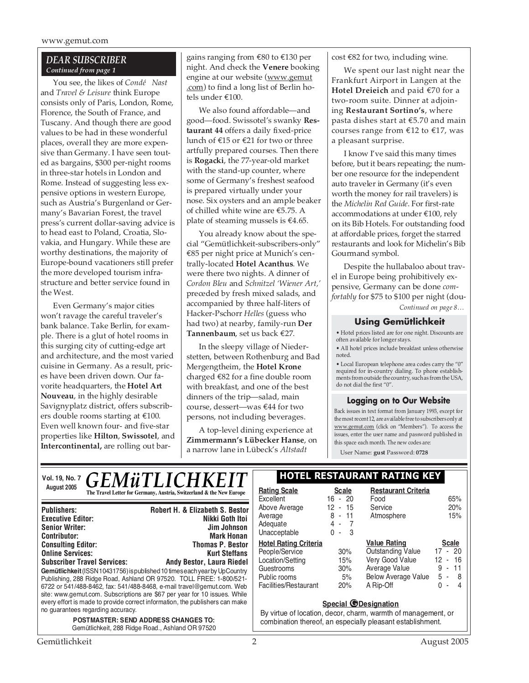#### *DEAR SUBSCRIBER Continued from page 1*

You see, the likes of *Condé Nast* and *Travel & Leisure* think Europe consists only of Paris, London, Rome, Florence, the South of France, and Tuscany. And though there are good values to be had in these wonderful places, overall they are more expensive than Germany. I have seen touted as bargains, \$300 per-night rooms in three-star hotels in London and Rome. Instead of suggesting less expensive options in western Europe, such as Austria's Burgenland or Germany's Bavarian Forest, the travel press's current dollar-saving advice is to head east to Poland, Croatia, Slovakia, and Hungary. While these are worthy destinations, the majority of Europe-bound vacationers still prefer the more developed tourism infrastructure and better service found in the West.

Even Germany's major cities won't ravage the careful traveler's bank balance. Take Berlin, for example. There is a glut of hotel rooms in this surging city of cutting-edge art and architecture, and the most varied cuisine in Germany. As a result, prices have been driven down. Our favorite headquarters, the **Hotel Art Nouveau**, in the highly desirable Savignyplatz district, offers subscribers double rooms starting at €100. Even well known four- and five-star properties like **Hilton**, **Swissotel**, and **Intercontinental,** are rolling out bar-

site: www.gemut.com. Subscriptions are \$67 per year for 10 issues. While every effort is made to provide correct information, the publishers can make

> *POSTMASTER: SEND ADDRESS CHANGES TO:* Gemütlichkeit, 288 Ridge Road., Ashland OR 97520

gains ranging from €80 to €130 per night. And check the **Venere** booking engine at our website (www.gemut .com) to find a long list of Berlin hotels under €100.

We also found affordable—and good—food. Swissotel's swanky **Restaurant 44** offers a daily fixed-price lunch of €15 or €21 for two or three artfully prepared courses. Then there is **Rogacki**, the 77-year-old market with the stand-up counter, where some of Germany's freshest seafood is prepared virtually under your nose. Six oysters and an ample beaker of chilled white wine are €5.75. A plate of steaming mussels is  $\text{\textsterling}4.65$ .

You already know about the special "Gemütlichkeit-subscribers-only" €85 per night price at Munich's centrally-located **Hotel Acanthus**. We were there two nights. A dinner of *Cordon Bleu* and *Schnitzel 'Wiener Art,'* preceded by fresh mixed salads, and accompanied by three half-liters of Hacker-Pschorr *Helles* (guess who had two) at nearby, family-run **Der Tannenbaum**, set us back €27.

In the sleepy village of Niederstetten, between Rothenburg and Bad Mergengtheim, the **Hotel Krone** charged €82 for a fine double room with breakfast, and one of the best dinners of the trip—salad, main course, dessert—was €44 for two persons, not including beverages.

A top-level dining experience at **Zimmermann's Lübecker Hanse**, on a narrow lane in Lübeck's *Altstadt*

cost €82 for two, including wine.

We spent our last night near the Frankfurt Airport in Langen at the **Hotel Dreieich** and paid €70 for a two-room suite. Dinner at adjoining **Restaurant Sortino's**, where pasta dishes start at €5.70 and main courses range from €12 to €17, was a pleasant surprise.

I know I've said this many times before, but it bears repeating; the number one resource for the independent auto traveler in Germany (it's even worth the money for rail travelers) is the *Michelin Red Guide*. For first-rate accommodations at under €100, rely on its Bib Hotels. For outstanding food at affordable prices, forget the starred restaurants and look for Michelin's Bib Gourmand symbol.

*Continued on page 8…* Despite the hullabaloo about travel in Europe being prohibitively expensive, Germany can be done *comfortably* for \$75 to \$100 per night (dou-

#### **Using Gemütlichkeit**

• Hotel prices listed are for one night. Discounts are often available for longer stays.

• All hotel prices include breakfast unless otherwise noted.

• Local European telephone area codes carry the "0" required for in-country dialing. To phone establishments from outside the country, such as from the USA, do not dial the first "0".

#### **Logging on to Our Website**

Back issues in text format from January 1993, except for the most recent 12, are available free to subscribers only at www.gemut.com (click on "Members"). To access the issues, enter the user name and password published in this space each month. The new codes are:

User Name: **gust** Password: **0728**

| Vol. 19, No. 7 $GEM\ddot{u}TLICHKEIT$                                                          |                                                                                                                                                                                                                            | <b>HOTEL RESTAURANT RATING KEY</b>                                 |                                         |                                                             |                                        |
|------------------------------------------------------------------------------------------------|----------------------------------------------------------------------------------------------------------------------------------------------------------------------------------------------------------------------------|--------------------------------------------------------------------|-----------------------------------------|-------------------------------------------------------------|----------------------------------------|
| August 2005                                                                                    | The Travel Letter for Germany, Austria, Switzerland & the New Europe                                                                                                                                                       | <b>Rating Scale</b><br>Excellent                                   | <b>Scale</b><br>$16 - 20$               | <b>Restaurant Criteria</b><br>Food                          | 65%                                    |
| <b>Publishers:</b><br><b>Executive Editor:</b><br><b>Senior Writer:</b><br><b>Contributor:</b> | Robert H. & Elizabeth S. Bestor<br>Nikki Goth Itoi<br>Jim Johnson<br><b>Mark Honan</b>                                                                                                                                     | Above Average<br>Average<br>Adequate<br>Unacceptable               | $12 - 15$<br>$8 - 11$<br>4 - 7<br>0 - 3 | Service<br>Atmosphere                                       | 20%<br>15%                             |
| <b>Consulting Editor:</b><br><b>Online Services:</b><br><b>Subscriber Travel Services:</b>     | <b>Thomas P. Bestor</b><br><b>Kurt Steffans</b><br><b>Andy Bestor, Laura Riedel</b>                                                                                                                                        | <b>Hotel Rating Criteria</b><br>People/Service<br>Location/Setting | 30%<br>15%                              | Value Rating<br><b>Outstanding Value</b><br>Very Good Value | <b>Scale</b><br>$17 - 20$<br>$12 - 16$ |
|                                                                                                | Gemütlichkeit (ISSN 10431756) is published 10 times each year by UpCountry<br>Publishing, 288 Ridge Road, Ashland OR 97520. TOLL FREE: 1-800/521-<br>6722 or 541/488-8462, fax: 541/488-8468, e-mail travel@gemut.com. Web | Guestrooms<br>Public rooms<br>Facilities/Restaurant                | 30%<br>5%<br>20%                        | Average Value<br><b>Below Average Value</b><br>A Rip-Off    | $9 - 11$<br>$5 - 8$<br>- 4             |

#### **Special @Designation**

By virtue of location, decor, charm, warmth of management, or combination thereof, an especially pleasant establishment.

no guarantees regarding accuracy.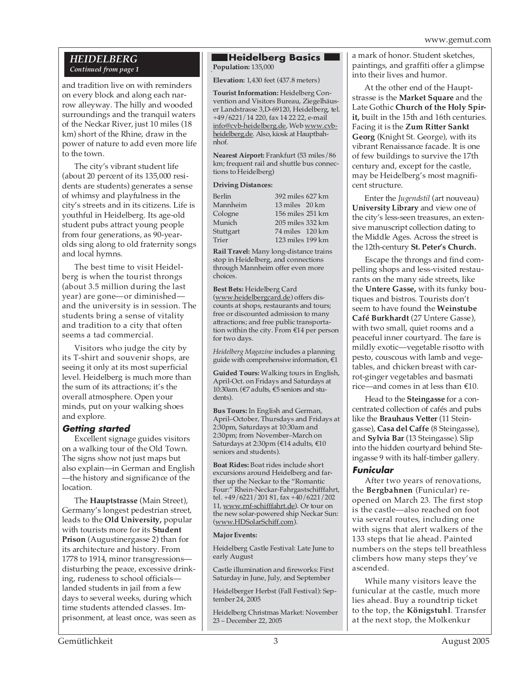#### *HEIDELBERG Continued from page 1*

and tradition live on with reminders on every block and along each narrow alleyway. The hilly and wooded surroundings and the tranquil waters of the Neckar River, just 10 miles (18 km) short of the Rhine, draw in the power of nature to add even more life to the town.

The city's vibrant student life (about 20 percent of its 135,000 residents are students) generates a sense of whimsy and playfulness in the city's streets and in its citizens. Life is youthful in Heidelberg. Its age-old student pubs attract young people from four generations, as 90-yearolds sing along to old fraternity songs and local hymns.

The best time to visit Heidelberg is when the tourist throngs (about 3.5 million during the last year) are gone—or diminished and the university is in session. The students bring a sense of vitality and tradition to a city that often seems a tad commercial.

Visitors who judge the city by its T-shirt and souvenir shops, are seeing it only at its most superficial level. Heidelberg is much more than the sum of its attractions; it's the overall atmosphere. Open your minds, put on your walking shoes and explore.

## **Getting started**

Excellent signage guides visitors on a walking tour of the Old Town. The signs show not just maps but also explain—in German and English —the history and significance of the location.

The **Hauptstrasse** (Main Street), Germany's longest pedestrian street, leads to the **Old University,** popular with tourists more for its **Student Prison** (Augustinergasse 2) than for its architecture and history. From 1778 to 1914, minor transgressions disturbing the peace, excessive drinking, rudeness to school officials landed students in jail from a few days to several weeks, during which time students attended classes. Imprisonment, at least once, was seen as

## . **Population:** 135,000 **Heidelberg Basics**

**Elevation:** 1,430 feet (437.8 meters)

**Tourist Information:** Heidelberg Convention and Visitors Bureau, Ziegelhäuser Landstrasse 3,D-69120, Heidelberg, tel. +49/6221/14 220, fax 14 22 22, e-mail info@cvb-heidelberg.de, Web www.cvbheidelberg.de. Also, kiosk at Hauptbahnhof.

**Nearest Airport:** Frankfurt (53 miles/86 km; frequent rail and shuttle bus connections to Heidelberg)

#### **Driving Distances:**

| Berlin    | 392 miles 627 km |  |
|-----------|------------------|--|
| Mannheim  | 13 miles 20 km   |  |
| Cologne   | 156 miles 251 km |  |
| Munich    | 205 miles 332 km |  |
| Stuttgart | 74 miles 120 km  |  |
| Trier     | 123 miles 199 km |  |

**Rail Travel:** Many long-distance trains stop in Heidelberg, and connections through Mannheim offer even more choices.

**Best Bets:** Heidelberg Card (www.heidelbergcard.de) offers discounts at shops, restaurants and tours; free or discounted admission to many attractions; and free public transportation within the city. From €14 per person for two days.

*Heidelberg Magazine* includes a planning guide with comprehensive information,  $\widetilde{\epsilon}1$ 

**Guided Tours:** Walking tours in English, April-Oct. on Fridays and Saturdays at 10:30am. (€7 adults, €5 seniors and students).

**Bus Tours:** In English and German, April–October, Thursdays and Fridays at 2:30pm, Saturdays at 10:30am and 2:30pm; from November–March on Saturdays at 2:30pm (€14 adults, €10 seniors and students).

**Boat Rides:** Boat rides include short excursions around Heidelberg and farther up the Neckar to the "Romantic Four:" Rhein-Neckar-Fahrgastschifffahrt, tel. +49/6221/201 81, fax +40/6221/202 11, www.rnf-schifffahrt.de). Or tour on the new solar-powered ship Neckar Sun: (www.HDSolarSchiff.com).

#### **Major Events:**

Heidelberg Castle Festival: Late June to early August

Castle illumination and fireworks: First Saturday in June, July, and September

Heidelberger Herbst (Fall Festival): September 24, 2005

Heidelberg Christmas Market: November 23 – December 22, 2005

a mark of honor. Student sketches, paintings, and graffiti offer a glimpse into their lives and humor.

At the other end of the Hauptstrasse is the **Market Square** and the Late Gothic **Church of the Holy Spirit,** built in the 15th and 16th centuries. Facing it is the **Zum Ritter Sankt Georg** (Knight St. George), with its vibrant Renaissance facade. It is one of few buildings to survive the 17th century and, except for the castle, may be Heidelberg's most magnificent structure.

Enter the *Jugendstil* (art nouveau) **University Library** and view one of the city's less-seen treasures, an extensive manuscript collection dating to the Middle Ages. Across the street is the 12th-century **St. Peter's Church.**

Escape the throngs and find compelling shops and less-visited restaurants on the many side streets, like the **Untere Gasse,** with its funky boutiques and bistros. Tourists don't seem to have found the **Weinstube Café Burkhardt** (27 Untere Gasse), with two small, quiet rooms and a peaceful inner courtyard. The fare is mildly exotic—vegetable risotto with pesto, couscous with lamb and vegetables, and chicken breast with carrot-ginger vegetables and basmati rice—and comes in at less than €10.

Head to the **Steingasse** for a concentrated collection of cafés and pubs like the **Brauhaus Vetter** (11 Steingasse), **Casa del Caffe** (8 Steingasse), and **Sylvia Bar** (13 Steingasse). Slip into the hidden courtyard behind Steingasse 9 with its half-timber gallery.

#### **Funicular**

After two years of renovations, the **Bergbahnen** (Funicular) reopened on March 23. The first stop is the castle—also reached on foot via several routes, including one with signs that alert walkers of the 133 steps that lie ahead. Painted numbers on the steps tell breathless climbers how many steps they've ascended.

While many visitors leave the funicular at the castle, much more lies ahead. Buy a roundtrip ticket to the top, the **Königstuhl**. Transfer at the next stop, the Molkenkur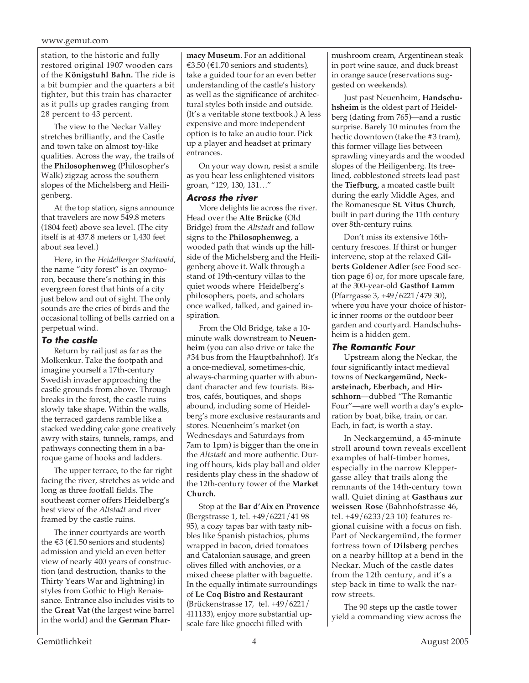#### www.gemut.com

station, to the historic and fully restored original 1907 wooden cars of the **Königstuhl Bahn.** The ride is a bit bumpier and the quarters a bit tighter, but this train has character as it pulls up grades ranging from 28 percent to 43 percent.

The view to the Neckar Valley stretches brilliantly, and the Castle and town take on almost toy-like qualities. Across the way, the trails of the **Philosophenweg** (Philosopher's Walk) zigzag across the southern slopes of the Michelsberg and Heiligenberg.

At the top station, signs announce that travelers are now 549.8 meters (1804 feet) above sea level. (The city itself is at 437.8 meters or 1,430 feet about sea level.)

Here, in the *Heidelberger Stadtwald*, the name "city forest" is an oxymoron, because there's nothing in this evergreen forest that hints of a city just below and out of sight. The only sounds are the cries of birds and the occasional tolling of bells carried on a perpetual wind.

#### **To the castle**

Return by rail just as far as the Molkenkur. Take the footpath and imagine yourself a 17th-century Swedish invader approaching the castle grounds from above. Through breaks in the forest, the castle ruins slowly take shape. Within the walls, the terraced gardens ramble like a stacked wedding cake gone creatively awry with stairs, tunnels, ramps, and pathways connecting them in a baroque game of hooks and ladders.

The upper terrace, to the far right facing the river, stretches as wide and long as three footfall fields. The southeast corner offers Heidelberg's best view of the *Altstadt* and river framed by the castle ruins.

The inner courtyards are worth the  $\epsilon$ 3 ( $\epsilon$ 1.50 seniors and students) admission and yield an even better view of nearly 400 years of construction (and destruction, thanks to the Thirty Years War and lightning) in styles from Gothic to High Renaissance. Entrance also includes visits to the **Great Vat** (the largest wine barrel in the world) and the **German Phar-**

**macy Museum**. For an additional €3.50 (€1.70 seniors and students), take a guided tour for an even better understanding of the castle's history as well as the significance of architectural styles both inside and outside. (It's a veritable stone textbook.) A less expensive and more independent option is to take an audio tour. Pick up a player and headset at primary entrances.

On your way down, resist a smile as you hear less enlightened visitors groan, "129, 130, 131…"

#### **Across the river**

More delights lie across the river. Head over the **Alte Brücke** (Old Bridge) from the *Altstadt* and follow signs to the **Philosophenweg**, a wooded path that winds up the hillside of the Michelsberg and the Heiligenberg above it. Walk through a stand of 19th-century villas to the quiet woods where Heidelberg's philosophers, poets, and scholars once walked, talked, and gained inspiration.

From the Old Bridge, take a 10 minute walk downstream to **Neuenheim** (you can also drive or take the #34 bus from the Hauptbahnhof). It's a once-medieval, sometimes-chic, always-charming quarter with abundant character and few tourists. Bistros, cafés, boutiques, and shops abound, including some of Heidelberg's more exclusive restaurants and stores. Neuenheim's market (on Wednesdays and Saturdays from 7am to 1pm) is bigger than the one in the *Altstadt* and more authentic. During off hours, kids play ball and older residents play chess in the shadow of the 12th-century tower of the **Market Church.**

Stop at the **Bar d'Aix en Provence** (Bergstrasse 1, tel. +49/6221/41 98 95), a cozy tapas bar with tasty nibbles like Spanish pistachios, plums wrapped in bacon, dried tomatoes and Catalonian sausage, and green olives filled with anchovies, or a mixed cheese platter with baguette. In the equally intimate surroundings of **Le Coq Bistro and Restaurant** (Brückenstrasse 17, tel. +49/6221/ 411133), enjoy more substantial upscale fare like gnocchi filled with

mushroom cream, Argentinean steak in port wine sauce, and duck breast in orange sauce (reservations suggested on weekends).

Just past Neuenheim, **Handschuhsheim** is the oldest part of Heidelberg (dating from 765)—and a rustic surprise. Barely 10 minutes from the hectic downtown (take the #3 tram), this former village lies between sprawling vineyards and the wooded slopes of the Heiligenberg. Its treelined, cobblestoned streets lead past the **Tiefburg,** a moated castle built during the early Middle Ages, and the Romanesque **St. Vitus Church**, built in part during the 11th century over 8th-century ruins.

Don't miss its extensive 16thcentury frescoes. If thirst or hunger intervene, stop at the relaxed **Gilberts Goldener Adler** (see Food section page 6) or, for more upscale fare, at the 300-year-old **Gasthof Lamm** (Pfarrgasse 3, +49/6221/479 30), where you have your choice of historic inner rooms or the outdoor beer garden and courtyard. Handschuhsheim is a hidden gem.

#### **The Romantic Four**

Upstream along the Neckar, the four significantly intact medieval towns of **Neckargemünd, Neckarsteinach, Eberbach,** and **Hirschhorn**—dubbed "The Romantic Four"—are well worth a day's exploration by boat, bike, train, or car. Each, in fact, is worth a stay.

In Neckargemünd, a 45-minute stroll around town reveals excellent examples of half-timber homes, especially in the narrow Kleppergasse alley that trails along the remnants of the 14th-century town wall. Quiet dining at **Gasthaus zur weissen Rose** (Bahnhofstrasse 46, tel. +49/6233/23 10) features regional cuisine with a focus on fish. Part of Neckargemünd, the former fortress town of **Dilsberg** perches on a nearby hilltop at a bend in the Neckar. Much of the castle dates from the 12th century, and it's a step back in time to walk the narrow streets.

The 90 steps up the castle tower yield a commanding view across the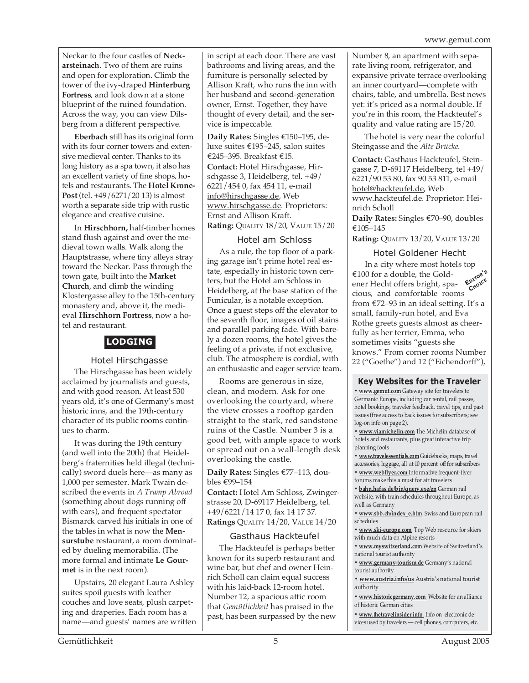Neckar to the four castles of **Neckarsteinach**. Two of them are ruins and open for exploration. Climb the tower of the ivy-draped **Hinterburg Fortress**, and look down at a stone blueprint of the ruined foundation. Across the way, you can view Dilsberg from a different perspective.

**Eberbach** still has its original form with its four corner towers and extensive medieval center. Thanks to its long history as a spa town, it also has an excellent variety of fine shops, hotels and restaurants. The **Hotel Krone-Post** (tel. +49/6271/20 13) is almost worth a separate side trip with rustic elegance and creative cuisine.

In **Hirschhorn,** half-timber homes stand flush against and over the medieval town walls. Walk along the Hauptstrasse, where tiny alleys stray toward the Neckar. Pass through the town gate, built into the **Market Church**, and climb the winding Klostergasse alley to the 15th-century monastery and, above it, the medieval **Hirschhorn Fortress**, now a hotel and restaurant.

# **LODGING**

#### Hotel Hirschgasse

The Hirschgasse has been widely acclaimed by journalists and guests, and with good reason. At least 530 years old, it's one of Germany's most historic inns, and the 19th-century character of its public rooms continues to charm.

It was during the 19th century (and well into the 20th) that Heidelberg's fraternities held illegal (technically) sword duels here—as many as 1,000 per semester. Mark Twain described the events in *A Tramp Abroad* (something about dogs running off with ears), and frequent spectator Bismarck carved his initials in one of the tables in what is now the **Mensurstube** restaurant, a room dominated by dueling memorabilia. (The more formal and intimate **Le Gourmet** is in the next room).

Upstairs, 20 elegant Laura Ashley suites spoil guests with leather couches and love seats, plush carpeting and draperies. Each room has a name—and guests' names are written in script at each door. There are vast bathrooms and living areas, and the furniture is personally selected by Allison Kraft, who runs the inn with her husband and second-generation owner, Ernst. Together, they have thought of every detail, and the service is impeccable.

**Daily Rates:** Singles €150–195, deluxe suites €195–245, salon suites €245–395. Breakfast €15. **Contact:** Hotel Hirschgasse, Hir-

schgasse 3, Heidelberg, tel. +49/ 6221/454 0, fax 454 11, e-mail info@hirschgasse.de, Web www.hirschgasse.de. Proprietors: Ernst and Allison Kraft. **Rating:** QUALITY 18/20, VALUE 15/20

#### Hotel am Schloss

As a rule, the top floor of a parking garage isn't prime hotel real estate, especially in historic town centers, but the Hotel am Schloss in Heidelberg, at the base station of the Funicular, is a notable exception. Once a guest steps off the elevator to the seventh floor, images of oil stains and parallel parking fade. With barely a dozen rooms, the hotel gives the feeling of a private, if not exclusive, club. The atmosphere is cordial, with an enthusiastic and eager service team.

Rooms are generous in size, clean, and modern. Ask for one overlooking the courtyard, where the view crosses a rooftop garden straight to the stark, red sandstone ruins of the Castle. Number 3 is a good bet, with ample space to work or spread out on a wall-length desk overlooking the castle.

**Daily Rates:** Singles €77–113, doubles €99–154

**Contact:** Hotel Am Schloss, Zwingerstrasse 20, D-69117 Heidelberg, tel. +49/6221/14 17 0, fax 14 17 37. **Ratings** QUALITY 14/20, VALUE 14/20

#### Gasthaus Hackteufel

The Hackteufel is perhaps better known for its superb restaurant and wine bar, but chef and owner Heinrich Scholl can claim equal success with his laid-back 12-room hotel. Number 12, a spacious attic room that *Gemütlichkeit* has praised in the past, has been surpassed by the new Number 8, an apartment with separate living room, refrigerator, and expansive private terrace overlooking an inner courtyard—complete with chairs, table, and umbrella. Best news yet: it's priced as a normal double. If you're in this room, the Hackteufel's quality and value rating are 15/20.

The hotel is very near the colorful Steingasse and the *Alte Brücke*.

**Contact:** Gasthaus Hackteufel, Steingasse 7, D-69117 Heidelberg, tel +49/ 6221/90 53 80, fax 90 53 811, e-mail hotel@hackteufel.de, Web www.hackteufel.de. Proprietor: Heinrich Scholl

**Daily Rates:** Singles €70–90, doubles €105–145

**Rating:** QUALITY 13/20, VALUE 13/20

#### Hotel Goldener Hecht

In a city where most hotels top €100 for a double, the Goldener Hecht offers bright, spacious, and comfortable rooms from €72–93 in an ideal setting. It's a small, family-run hotel, and Eva Rothe greets guests almost as cheerfully as her terrier, Emma, who sometimes visits "guests she knows." From corner rooms Number 22 ("Goethe") and 12 ("Eichendorff"), **EDITOR'<sup>S</sup> CHOICE**

#### **Key Websites for the Traveler**

**• www.gemut.com** Gateway site for travelers to Germanic Europe, including car rental, rail passes, hotel bookings, traveler feedback, travel tips, and past issues (free access to back issues for subscribers; see log-on info on page 2).

**• www.viamichelin.com** The Michelin database of hotels and restaurants, plus great interactive trip planning tools

**• www.travelessentials.com** Guidebooks, maps, travel accessories, luggage, all at 10 percent off for subscribers

**• www.webflyer.com** Informative frequent-flyer forums make this a must for air travelers

**• bahn.hafas.de/bin/query.exe/en** German rail website, with train schedules throughout Europe, as well as Germany

**• www.sbb.ch/index\_e.htm** Swiss and European rail schedules

**• www.ski-europe.com** Top Web resource for skiers with much data on Alpine resorts

**• www.myswitzerland.com** Website of Switzerland's national tourist authority

**• www.germany-tourism.de** Germany's national tourist authority

**• www.austria.info/us** Austria's national tourist authority

**• www.historicgermany.com** Website for an alliance of historic German cities

**• www.thetravelinsider.info** Info on electronic devices used by travelers — cell phones, computers, etc.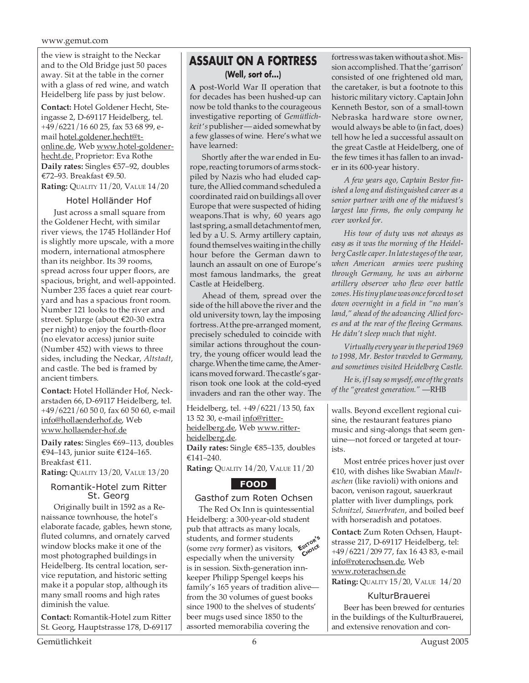the view is straight to the Neckar and to the Old Bridge just 50 paces away. Sit at the table in the corner with a glass of red wine, and watch Heidelberg life pass by just below.

**Contact:** Hotel Goldener Hecht, Steingasse 2, D-69117 Heidelberg, tel. +49/6221/16 60 25, fax 53 68 99, email hotel.goldener.hecht@tonline.de, Web www.hotel-goldenerhecht.de. Proprietor: Eva Rothe **Daily rates:** Singles €57–92, doubles €72–93. Breakfast €9.50. **Rating:** QUALITY 11/20, VALUE 14/20

#### Hotel Holländer Hof

Just across a small square from the Goldener Hecht, with similar river views, the 1745 Holländer Hof is slightly more upscale, with a more modern, international atmosphere than its neighbor. Its 39 rooms, spread across four upper floors, are spacious, bright, and well-appointed. Number 235 faces a quiet rear courtyard and has a spacious front room. Number 121 looks to the river and street. Splurge (about €20-30 extra per night) to enjoy the fourth-floor (no elevator access) junior suite (Number 452) with views to three sides, including the Neckar, *Altstadt*, and castle. The bed is framed by ancient timbers.

**Contact:** Hotel Holländer Hof, Neckarstaden 66, D-69117 Heidelberg, tel. +49/6221/60 50 0, fax 60 50 60, e-mail info@hollaenderhof.de, Web www.hollaender-hof.de

**Daily rates:** Singles €69–113, doubles €94–143, junior suite €124–165. Breakfast €11.

**Rating:** QUALITY 13/20, VALUE 13/20

#### Romantik-Hotel zum Ritter St. Georg

Originally built in 1592 as a Renaissance townhouse, the hotel's elaborate facade, gables, hewn stone, fluted columns, and ornately carved window blocks make it one of the most photographed buildings in Heidelberg. Its central location, service reputation, and historic setting make it a popular stop, although its many small rooms and high rates diminish the value.

**Contact:** Romantik-Hotel zum Ritter St. Georg, Hauptstrasse 178, D-69117

# **ASSAULT ON A FORTRESS (Well, sort of...)**

**A** post-World War II operation that for decades has been hushed-up can now be told thanks to the courageous investigative reporting of *Gemütlichkeit* '*s* publisher — aided somewhat by a few glasses of wine. Here's what we have learned:

Shortly after the war ended in Europe, reacting to rumors of arms stockpiled by Nazis who had eluded capture, the Allied command scheduled a coordinated raid on buildings all over Europe that were suspected of hiding weapons.That is why, 60 years ago last spring, a small detachment of men, led by a U. S. Army artillery captain, found themselves waiting in the chilly hour before the German dawn to launch an assault on one of Europe's most famous landmarks, the great Castle at Heidelberg.

Ahead of them, spread over the side of the hill above the river and the old university town, lay the imposing fortress. At the pre-arranged moment, precisely scheduled to coincide with similar actions throughout the country, the young officer would lead the charge. When the time came, the Americans moved forward. The castle's garrison took one look at the cold-eyed invaders and ran the other way. The

Heidelberg, tel. +49/6221/13 50, fax 13 52 30, e-mail info@ritterheidelberg.de, Web www.ritterheidelberg.de. **Daily rates:** Single €85–135, doubles €141–240.

**Rating:** QUALITY 14/20, VALUE 11/20

# **FOOD**

## Gasthof zum Roten Ochsen

**EDITOR'<sup>S</sup> CHOICE** The Red Ox Inn is quintessential Heidelberg: a 300-year-old student pub that attracts as many locals, students, and former students (some *very* former) as visitors, especially when the university is in session. Sixth-generation innkeeper Philipp Spengel keeps his family's 165 years of tradition alive from the 30 volumes of guest books since 1900 to the shelves of students' beer mugs used since 1850 to the assorted memorabilia covering the

fortress was taken without a shot. Mission accomplished. That the 'garrison' consisted of one frightened old man, the caretaker, is but a footnote to this historic military victory. Captain John Kenneth Bestor, son of a small-town Nebraska hardware store owner, would always be able to (in fact, does) tell how he led a successful assault on the great Castle at Heidelberg, one of the few times it has fallen to an invader in its 600-year history.

*A few years ago, Captain Bestor finished a long and distinguished career as a senior partner with one of the midwest's largest law firms, the only company he ever worked for.*

*His tour of duty was not always as easy as it was the morning of the Heidelberg Castle caper. In late stages of the war, when American armies were pushing through Germany, he was an airborne artillery observer who flew over battle zones. His tiny plane was once forced to set down overnight in a field in "no man's land," ahead of the advancing Allied forces and at the rear of the fleeing Germans. He didn't sleep much that night.*

*Virtually every year in the period 1969 to 1998, Mr. Bestor traveled to Germany, and sometimes visited Heidelberg Castle.*

*He is, if I say so myself, one of the greats of the "greatest generation."* —RHB

walls. Beyond excellent regional cuisine, the restaurant features piano music and sing-alongs that seem genuine—not forced or targeted at tourists.

Most entrée prices hover just over €10, with dishes like Swabian *Maultaschen* (like ravioli) with onions and bacon, venison ragout, sauerkraut platter with liver dumplings, pork *Schnitzel*, *Sauerbraten*, and boiled beef with horseradish and potatoes.

**Contact:** Zum Roten Ochsen, Hauptstrasse 217, D-69117 Heidelberg, tel: +49/6221/209 77, fax 16 43 83, e-mail info@roterochsen.de, Web www.roterachsen.de

**Rating:** QUALITY 15/20, VALUE 14/20

#### KulturBrauerei

Beer has been brewed for centuries in the buildings of the KulturBrauerei, and extensive renovation and con-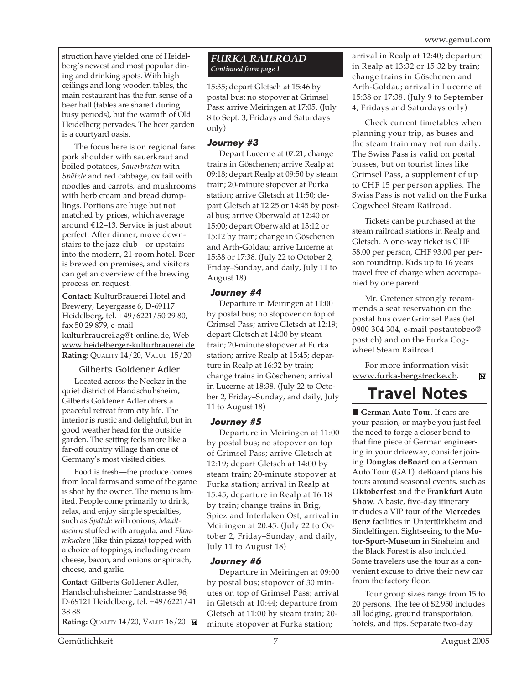struction have yielded one of Heidelberg's newest and most popular dining and drinking spots. With high ceilings and long wooden tables, the main restaurant has the fun sense of a beer hall (tables are shared during busy periods), but the warmth of Old Heidelberg pervades. The beer garden is a courtyard oasis.

The focus here is on regional fare: pork shoulder with sauerkraut and boiled potatoes, *Sauerbraten* with *Spätzle* and red cabbage, ox tail with noodles and carrots, and mushrooms with herb cream and bread dumplings. Portions are huge but not matched by prices, which average around €12–13. Service is just about perfect. After dinner, move downstairs to the jazz club—or upstairs into the modern, 21-room hotel. Beer is brewed on premises, and visitors can get an overview of the brewing process on request.

**Contact:** KulturBrauerei Hotel and Brewery, Leyergasse 6, D-69117 Heidelberg, tel. +49/6221/50 29 80, fax 50 29 879, e-mail kulturbrauerei.ag@t-online.de, Web

www.heidelberger-kulturbrauerei.de **Rating: QUALITY 14/20, VALUE 15/20** 

#### Gilberts Goldener Adler

Located across the Neckar in the quiet district of Handschuhsheim, Gilberts Goldener Adler offers a peaceful retreat from city life. The interior is rustic and delightful, but in good weather head for the outside garden. The setting feels more like a far-off country village than one of Germany's most visited cities.

Food is fresh—the produce comes from local farms and some of the game is shot by the owner. The menu is limited. People come primarily to drink, relax, and enjoy simple specialties, such as *Spätzle* with onions, *Maultaschen* stuffed with arugula, and *Flammkuchen* (like thin pizza) topped with a choice of toppings, including cream cheese, bacon, and onions or spinach, cheese, and garlic.

**Contact:** Gilberts Goldener Adler, Handschuhsheimer Landstrasse 96, D-69121 Heidelberg, tel. +49/6221/41 38 88

**Rating:** QUALITY 14/20, VALUE 16/20

#### *FURKA RAILROAD Continued from page 1*

15:35; depart Gletsch at 15:46 by postal bus; no stopover at Grimsel Pass; arrive Meiringen at 17:05. (July 8 to Sept. 3, Fridays and Saturdays only)

#### **Journey #3**

Depart Lucerne at 07:21; change trains in Göschenen; arrive Realp at 09:18; depart Realp at 09:50 by steam train; 20-minute stopover at Furka station; arrive Gletsch at 11:50; depart Gletsch at 12:25 or 14:45 by postal bus; arrive Oberwald at 12:40 or 15:00; depart Oberwald at 13:12 or 15:12 by train; change in Göschenen and Arth-Goldau; arrive Lucerne at 15:38 or 17:38. (July 22 to October 2, Friday–Sunday, and daily, July 11 to August 18)

## **Journey #4**

Departure in Meiringen at 11:00 by postal bus; no stopover on top of Grimsel Pass; arrive Gletsch at 12:19; depart Gletsch at 14:00 by steam train; 20-minute stopover at Furka station; arrive Realp at 15:45; departure in Realp at 16:32 by train; change trains in Göschenen; arrival in Lucerne at 18:38. (July 22 to October 2, Friday–Sunday, and daily, July 11 to August 18)

## **Journey #5**

Departure in Meiringen at 11:00 by postal bus; no stopover on top of Grimsel Pass; arrive Gletsch at 12:19; depart Gletsch at 14:00 by steam train; 20-minute stopover at Furka station; arrival in Realp at 15:45; departure in Realp at 16:18 by train; change trains in Brig, Spiez and Interlaken Ost; arrival in Meiringen at 20:45. (July 22 to October 2, Friday–Sunday, and daily, July 11 to August 18)

## **Journey #6**

Departure in Meiringen at 09:00 by postal bus; stopover of 30 minutes on top of Grimsel Pass; arrival in Gletsch at 10:44; departure from Gletsch at 11:00 by steam train; 20 minute stopover at Furka station;

arrival in Realp at 12:40; departure in Realp at 13:32 or 15:32 by train; change trains in Göschenen and Arth-Goldau; arrival in Lucerne at 15:38 or 17:38. (July 9 to September 4, Fridays and Saturdays only)

Check current timetables when planning your trip, as buses and the steam train may not run daily. The Swiss Pass is valid on postal busses, but on tourist lines like Grimsel Pass, a supplement of up to CHF 15 per person applies. The Swiss Pass is not valid on the Furka Cogwheel Steam Railroad.

Tickets can be purchased at the steam railroad stations in Realp and Gletsch. A one-way ticket is CHF 58.00 per person, CHF 93.00 per person roundtrip. Kids up to 16 years travel free of charge when accompanied by one parent.

Mr. Gretener strongly recommends a seat reservation on the postal bus over Grimsel Pass (tel. 0900 304 304, e-mail postautobeo@ post.ch) and on the Furka Cogwheel Steam Railroad.

For more information visit www.furka-bergstrecke.ch.  $\mathbf{M}$ 

# **Travel Notes**

■ **German Auto Tour**. If cars are your passion, or maybe you just feel the need to forge a closer bond to that fine piece of German engineering in your driveway, consider joining **Douglas deBoard** on a German Auto Tour (GAT). deBoard plans his tours around seasonal events, such as **Oktoberfest** and the F**rankfurt Auto Show**. A basic, five-day itinerary includes a VIP tour of the **Mercedes Benz** facilities in Untertürkheim and Sindelfingen. Sightseeing to the **Motor-Sport-Museum** in Sinsheim and the Black Forest is also included. Some travelers use the tour as a convenient excuse to drive their new car from the factory floor.

Tour group sizes range from 15 to 20 persons. The fee of \$2,950 includes all lodging, ground transportaion, hotels, and tips. Separate two-day